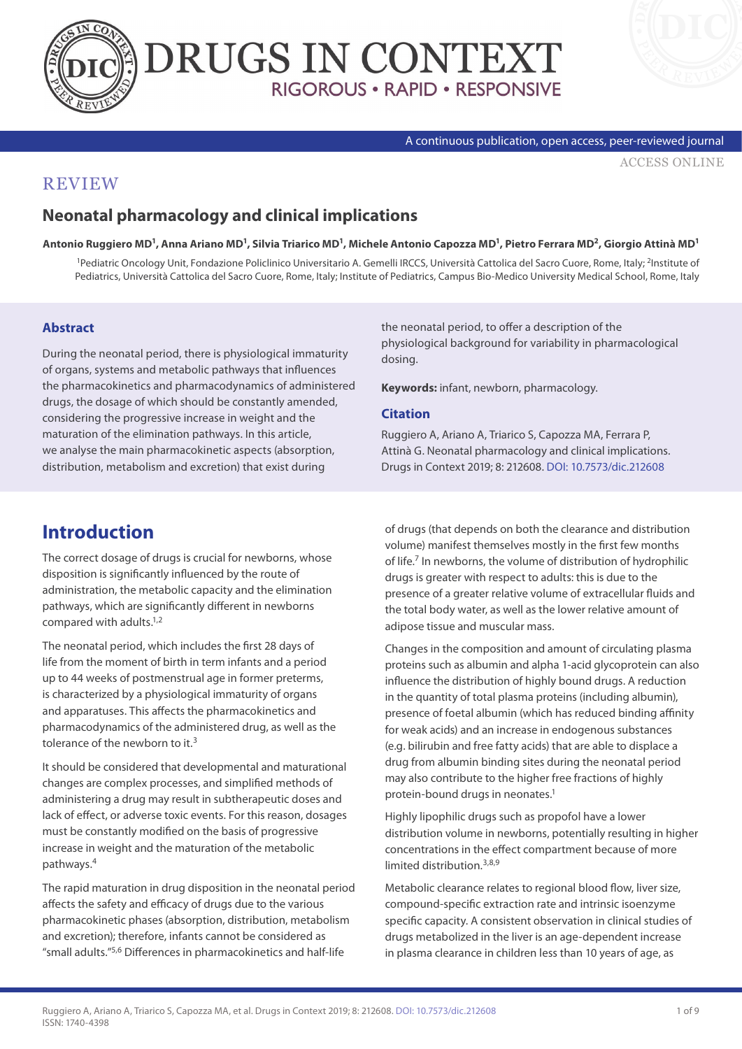



#### A continuous publication, open access, peer-reviewed journal

[ACCESS ONLINE](https://www.drugsincontext.com/neonatal-pharmacology-and-clinical-implications)

### **REVIEW**

## **Neonatal pharmacology and clinical implications**

**Antonio Ruggiero MD1, Anna Ariano MD1, Silvia Triarico MD1, Michele Antonio Capozza MD1, Pietro Ferrara MD2, Giorgio Attinà MD1**

1Pediatric Oncology Unit, Fondazione Policlinico Universitario A. Gemelli IRCCS, Università Cattolica del Sacro Cuore, Rome, Italy; 2Institute of Pediatrics, Università Cattolica del Sacro Cuore, Rome, Italy; Institute of Pediatrics, Campus Bio-Medico University Medical School, Rome, Italy

#### **Abstract**

During the neonatal period, there is physiological immaturity of organs, systems and metabolic pathways that influences the pharmacokinetics and pharmacodynamics of administered drugs, the dosage of which should be constantly amended, considering the progressive increase in weight and the maturation of the elimination pathways. In this article, we analyse the main pharmacokinetic aspects (absorption, distribution, metabolism and excretion) that exist during

the neonatal period, to offer a description of the physiological background for variability in pharmacological dosing.

**Keywords:** infant, newborn, pharmacology.

#### **Citation**

Ruggiero A, Ariano A, Triarico S, Capozza MA, Ferrara P, Attinà G. Neonatal pharmacology and clinical implications. Drugs in Context 2019; 8: 212608. [DOI: 10.7573/dic.212608](https://doi.org/10.7573/dic.212608)

## **Introduction**

The correct dosage of drugs is crucial for newborns, whose disposition is significantly influenced by the route of administration, the metabolic capacity and the elimination pathways, which are significantly different in newborns compared with adults.1,2

The neonatal period, which includes the first 28 days of life from the moment of birth in term infants and a period up to 44 weeks of postmenstrual age in former preterms, is characterized by a physiological immaturity of organs and apparatuses. This affects the pharmacokinetics and pharmacodynamics of the administered drug, as well as the tolerance of the newborn to it.<sup>3</sup>

It should be considered that developmental and maturational changes are complex processes, and simplified methods of administering a drug may result in subtherapeutic doses and lack of effect, or adverse toxic events. For this reason, dosages must be constantly modified on the basis of progressive increase in weight and the maturation of the metabolic pathways.4

The rapid maturation in drug disposition in the neonatal period affects the safety and efficacy of drugs due to the various pharmacokinetic phases (absorption, distribution, metabolism and excretion); therefore, infants cannot be considered as "small adults."5,6 Differences in pharmacokinetics and half-life

of drugs (that depends on both the clearance and distribution volume) manifest themselves mostly in the first few months of life.7 In newborns, the volume of distribution of hydrophilic drugs is greater with respect to adults: this is due to the presence of a greater relative volume of extracellular fluids and the total body water, as well as the lower relative amount of adipose tissue and muscular mass.

Changes in the composition and amount of circulating plasma proteins such as albumin and alpha 1-acid glycoprotein can also influence the distribution of highly bound drugs. A reduction in the quantity of total plasma proteins (including albumin), presence of foetal albumin (which has reduced binding affinity for weak acids) and an increase in endogenous substances (e.g. bilirubin and free fatty acids) that are able to displace a drug from albumin binding sites during the neonatal period may also contribute to the higher free fractions of highly protein-bound drugs in neonates.<sup>1</sup>

Highly lipophilic drugs such as propofol have a lower distribution volume in newborns, potentially resulting in higher concentrations in the effect compartment because of more limited distribution.<sup>3,8,9</sup>

Metabolic clearance relates to regional blood flow, liver size, compound-specific extraction rate and intrinsic isoenzyme specific capacity. A consistent observation in clinical studies of drugs metabolized in the liver is an age-dependent increase in plasma clearance in children less than 10 years of age, as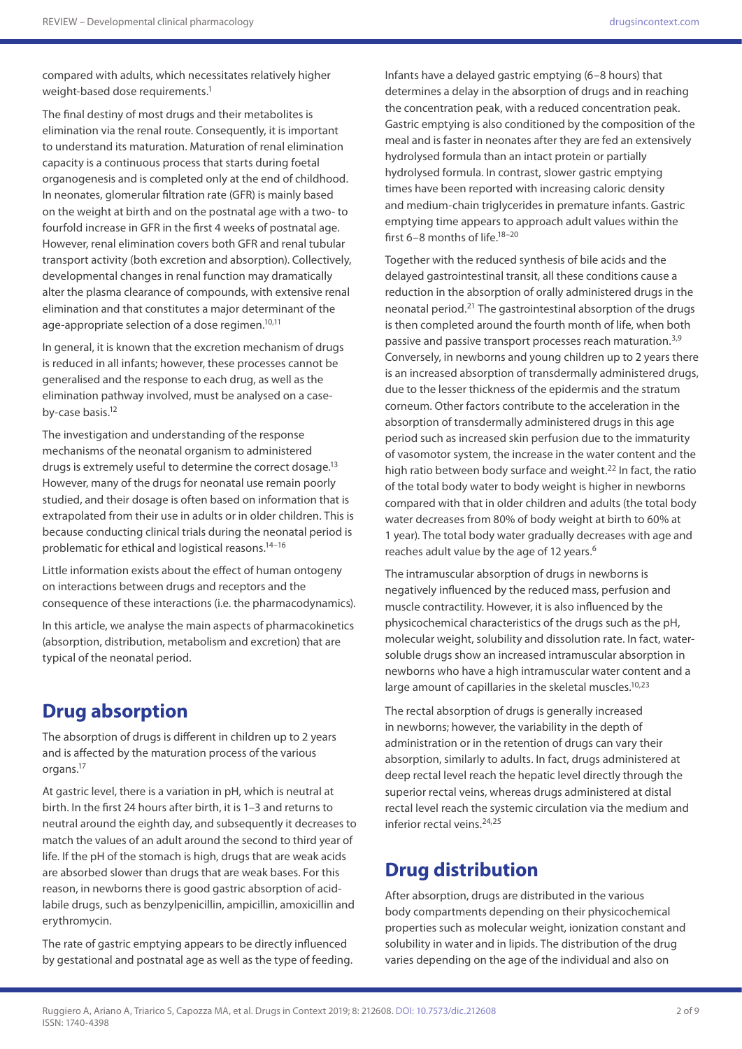compared with adults, which necessitates relatively higher weight-based dose requirements.<sup>1</sup>

The final destiny of most drugs and their metabolites is elimination via the renal route. Consequently, it is important to understand its maturation. Maturation of renal elimination capacity is a continuous process that starts during foetal organogenesis and is completed only at the end of childhood. In neonates, glomerular filtration rate (GFR) is mainly based on the weight at birth and on the postnatal age with a two- to fourfold increase in GFR in the first 4 weeks of postnatal age. However, renal elimination covers both GFR and renal tubular transport activity (both excretion and absorption). Collectively, developmental changes in renal function may dramatically alter the plasma clearance of compounds, with extensive renal elimination and that constitutes a major determinant of the age-appropriate selection of a dose regimen.<sup>10,11</sup>

In general, it is known that the excretion mechanism of drugs is reduced in all infants; however, these processes cannot be generalised and the response to each drug, as well as the elimination pathway involved, must be analysed on a caseby-case basis.<sup>12</sup>

The investigation and understanding of the response mechanisms of the neonatal organism to administered drugs is extremely useful to determine the correct dosage.<sup>13</sup> However, many of the drugs for neonatal use remain poorly studied, and their dosage is often based on information that is extrapolated from their use in adults or in older children. This is because conducting clinical trials during the neonatal period is problematic for ethical and logistical reasons.14–16

Little information exists about the effect of human ontogeny on interactions between drugs and receptors and the consequence of these interactions (i.e. the pharmacodynamics).

In this article, we analyse the main aspects of pharmacokinetics (absorption, distribution, metabolism and excretion) that are typical of the neonatal period.

# **Drug absorption**

The absorption of drugs is different in children up to 2 years and is affected by the maturation process of the various organs.17

At gastric level, there is a variation in pH, which is neutral at birth. In the first 24 hours after birth, it is 1–3 and returns to neutral around the eighth day, and subsequently it decreases to match the values of an adult around the second to third year of life. If the pH of the stomach is high, drugs that are weak acids are absorbed slower than drugs that are weak bases. For this reason, in newborns there is good gastric absorption of acidlabile drugs, such as benzylpenicillin, ampicillin, amoxicillin and erythromycin.

The rate of gastric emptying appears to be directly influenced by gestational and postnatal age as well as the type of feeding. Infants have a delayed gastric emptying (6–8 hours) that determines a delay in the absorption of drugs and in reaching the concentration peak, with a reduced concentration peak. Gastric emptying is also conditioned by the composition of the meal and is faster in neonates after they are fed an extensively hydrolysed formula than an intact protein or partially hydrolysed formula. In contrast, slower gastric emptying times have been reported with increasing caloric density and medium-chain triglycerides in premature infants. Gastric emptying time appears to approach adult values within the first 6–8 months of life.18–20

Together with the reduced synthesis of bile acids and the delayed gastrointestinal transit, all these conditions cause a reduction in the absorption of orally administered drugs in the neonatal period.21 The gastrointestinal absorption of the drugs is then completed around the fourth month of life, when both passive and passive transport processes reach maturation.<sup>3,9</sup> Conversely, in newborns and young children up to 2 years there is an increased absorption of transdermally administered drugs, due to the lesser thickness of the epidermis and the stratum corneum. Other factors contribute to the acceleration in the absorption of transdermally administered drugs in this age period such as increased skin perfusion due to the immaturity of vasomotor system, the increase in the water content and the high ratio between body surface and weight.<sup>22</sup> In fact, the ratio of the total body water to body weight is higher in newborns compared with that in older children and adults (the total body water decreases from 80% of body weight at birth to 60% at 1 year). The total body water gradually decreases with age and reaches adult value by the age of 12 years.<sup>6</sup>

The intramuscular absorption of drugs in newborns is negatively influenced by the reduced mass, perfusion and muscle contractility. However, it is also influenced by the physicochemical characteristics of the drugs such as the pH, molecular weight, solubility and dissolution rate. In fact, watersoluble drugs show an increased intramuscular absorption in newborns who have a high intramuscular water content and a large amount of capillaries in the skeletal muscles.<sup>10,23</sup>

The rectal absorption of drugs is generally increased in newborns; however, the variability in the depth of administration or in the retention of drugs can vary their absorption, similarly to adults. In fact, drugs administered at deep rectal level reach the hepatic level directly through the superior rectal veins, whereas drugs administered at distal rectal level reach the systemic circulation via the medium and inferior rectal veins.24,25

# **Drug distribution**

After absorption, drugs are distributed in the various body compartments depending on their physicochemical properties such as molecular weight, ionization constant and solubility in water and in lipids. The distribution of the drug varies depending on the age of the individual and also on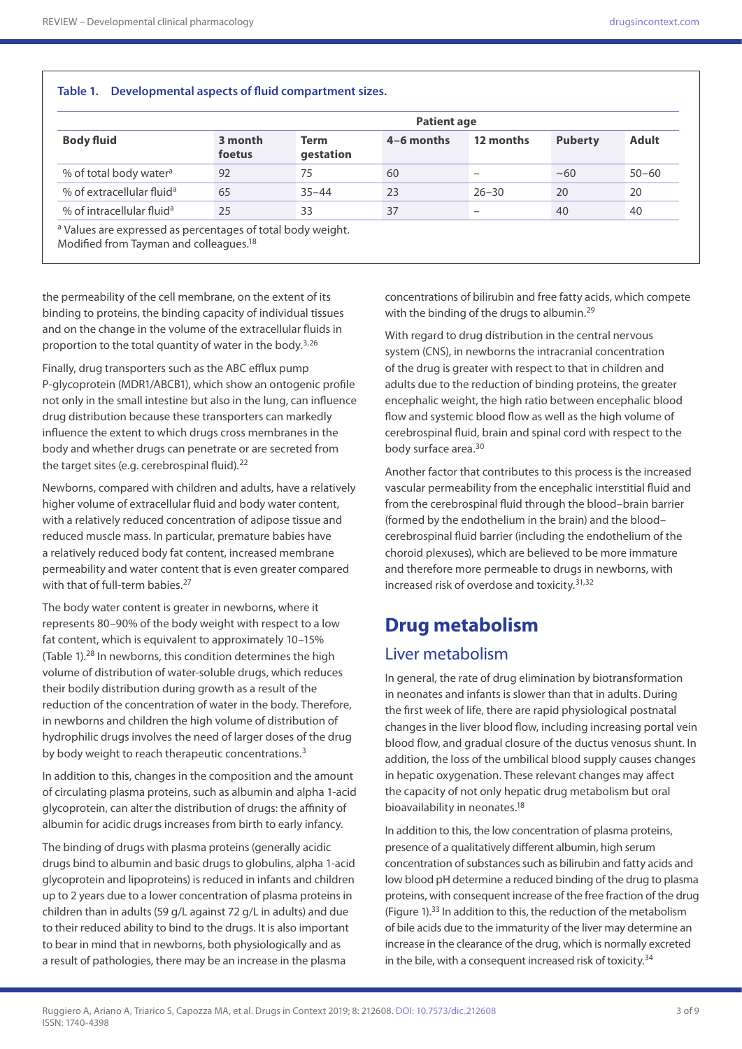| <b>Body fluid</b>                     | <b>Patient age</b> |                          |            |           |                |              |
|---------------------------------------|--------------------|--------------------------|------------|-----------|----------------|--------------|
|                                       | 3 month<br>foetus  | <b>Term</b><br>gestation | 4-6 months | 12 months | <b>Puberty</b> | <b>Adult</b> |
| % of total body water <sup>a</sup>    | 92                 | 75                       | 60         |           | ~100           | $50 - 60$    |
| % of extracellular fluid <sup>a</sup> | 65                 | $35 - 44$                | 23         | $26 - 30$ | 20             | 20           |
| % of intracellular fluid <sup>a</sup> | 25                 | 33                       | 37         |           | 40             | 40           |

the permeability of the cell membrane, on the extent of its binding to proteins, the binding capacity of individual tissues and on the change in the volume of the extracellular fluids in proportion to the total quantity of water in the body. $3,26$ 

Finally, drug transporters such as the ABC efflux pump P-glycoprotein (MDR1/ABCB1), which show an ontogenic profile not only in the small intestine but also in the lung, can influence drug distribution because these transporters can markedly influence the extent to which drugs cross membranes in the body and whether drugs can penetrate or are secreted from the target sites (e.g. cerebrospinal fluid).<sup>22</sup>

Newborns, compared with children and adults, have a relatively higher volume of extracellular fluid and body water content, with a relatively reduced concentration of adipose tissue and reduced muscle mass. In particular, premature babies have a relatively reduced body fat content, increased membrane permeability and water content that is even greater compared with that of full-term babies.<sup>27</sup>

The body water content is greater in newborns, where it represents 80–90% of the body weight with respect to a low fat content, which is equivalent to approximately 10–15% (Table 1).28 In newborns, this condition determines the high volume of distribution of water-soluble drugs, which reduces their bodily distribution during growth as a result of the reduction of the concentration of water in the body. Therefore, in newborns and children the high volume of distribution of hydrophilic drugs involves the need of larger doses of the drug by body weight to reach therapeutic concentrations.<sup>3</sup>

In addition to this, changes in the composition and the amount of circulating plasma proteins, such as albumin and alpha 1-acid glycoprotein, can alter the distribution of drugs: the affinity of albumin for acidic drugs increases from birth to early infancy.

The binding of drugs with plasma proteins (generally acidic drugs bind to albumin and basic drugs to globulins, alpha 1-acid glycoprotein and lipoproteins) is reduced in infants and children up to 2 years due to a lower concentration of plasma proteins in children than in adults (59 g/L against 72 g/L in adults) and due to their reduced ability to bind to the drugs. It is also important to bear in mind that in newborns, both physiologically and as a result of pathologies, there may be an increase in the plasma

concentrations of bilirubin and free fatty acids, which compete with the binding of the drugs to albumin.<sup>29</sup>

With regard to drug distribution in the central nervous system (CNS), in newborns the intracranial concentration of the drug is greater with respect to that in children and adults due to the reduction of binding proteins, the greater encephalic weight, the high ratio between encephalic blood flow and systemic blood flow as well as the high volume of cerebrospinal fluid, brain and spinal cord with respect to the body surface area.<sup>30</sup>

Another factor that contributes to this process is the increased vascular permeability from the encephalic interstitial fluid and from the cerebrospinal fluid through the blood–brain barrier (formed by the endothelium in the brain) and the blood– cerebrospinal fluid barrier (including the endothelium of the choroid plexuses), which are believed to be more immature and therefore more permeable to drugs in newborns, with increased risk of overdose and toxicity.31,32

## **Drug metabolism**

## Liver metabolism

In general, the rate of drug elimination by biotransformation in neonates and infants is slower than that in adults. During the first week of life, there are rapid physiological postnatal changes in the liver blood flow, including increasing portal vein blood flow, and gradual closure of the ductus venosus shunt. In addition, the loss of the umbilical blood supply causes changes in hepatic oxygenation. These relevant changes may affect the capacity of not only hepatic drug metabolism but oral bioavailability in neonates.<sup>18</sup>

In addition to this, the low concentration of plasma proteins, presence of a qualitatively different albumin, high serum concentration of substances such as bilirubin and fatty acids and low blood pH determine a reduced binding of the drug to plasma proteins, with consequent increase of the free fraction of the drug (Figure 1).33 In addition to this, the reduction of the metabolism of bile acids due to the immaturity of the liver may determine an increase in the clearance of the drug, which is normally excreted in the bile, with a consequent increased risk of toxicity.<sup>34</sup>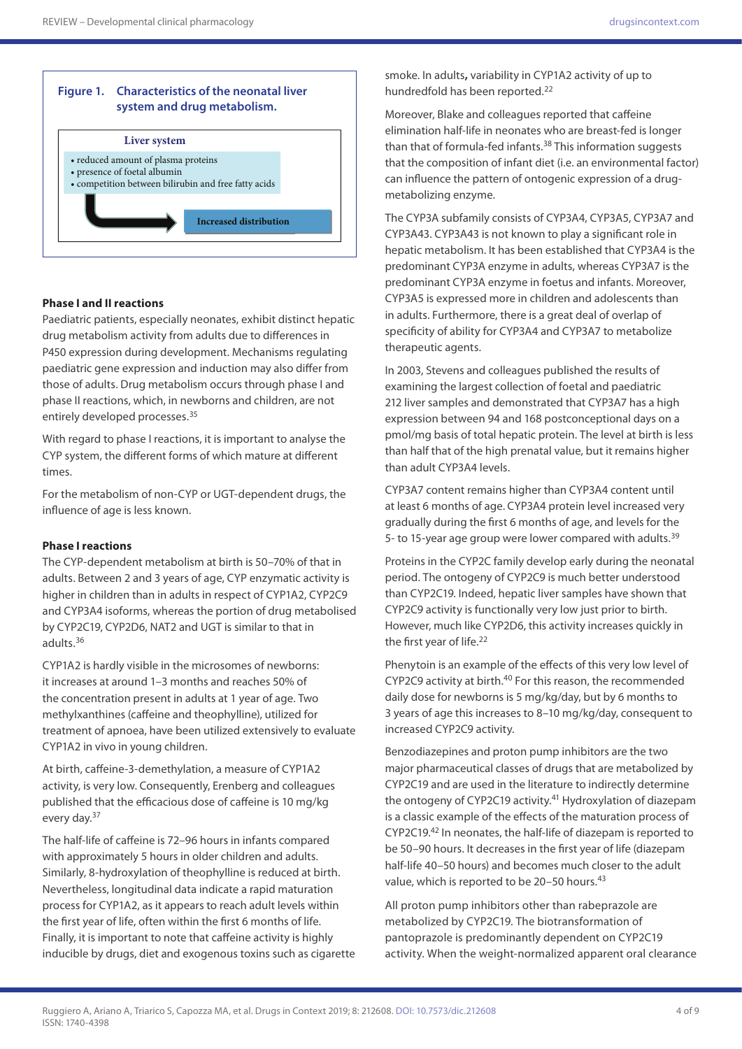

### **Phase I and II reactions**

Paediatric patients, especially neonates, exhibit distinct hepatic drug metabolism activity from adults due to differences in P450 expression during development. Mechanisms regulating paediatric gene expression and induction may also differ from those of adults. Drug metabolism occurs through phase I and phase II reactions, which, in newborns and children, are not entirely developed processes.35

With regard to phase I reactions, it is important to analyse the CYP system, the different forms of which mature at different times.

For the metabolism of non-CYP or UGT-dependent drugs, the influence of age is less known.

### **Phase I reactions**

The CYP-dependent metabolism at birth is 50–70% of that in adults. Between 2 and 3 years of age, CYP enzymatic activity is higher in children than in adults in respect of CYP1A2, CYP2C9 and CYP3A4 isoforms, whereas the portion of drug metabolised by CYP2C19, CYP2D6, NAT2 and UGT is similar to that in adults.36

CYP1A2 is hardly visible in the microsomes of newborns: it increases at around 1–3 months and reaches 50% of the concentration present in adults at 1 year of age. Two methylxanthines (caffeine and theophylline), utilized for treatment of apnoea, have been utilized extensively to evaluate CYP1A2 in vivo in young children.

At birth, caffeine-3-demethylation, a measure of CYP1A2 activity, is very low. Consequently, Erenberg and colleagues published that the efficacious dose of caffeine is 10 mg/kg every day.37

The half-life of caffeine is 72–96 hours in infants compared with approximately 5 hours in older children and adults. Similarly, 8-hydroxylation of theophylline is reduced at birth. Nevertheless, longitudinal data indicate a rapid maturation process for CYP1A2, as it appears to reach adult levels within the first year of life, often within the first 6 months of life. Finally, it is important to note that caffeine activity is highly inducible by drugs, diet and exogenous toxins such as cigarette smoke. In adults**,** variability in CYP1A2 activity of up to hundredfold has been reported.22

Moreover, Blake and colleagues reported that caffeine elimination half-life in neonates who are breast-fed is longer than that of formula-fed infants.<sup>38</sup> This information suggests that the composition of infant diet (i.e. an environmental factor) can influence the pattern of ontogenic expression of a drugmetabolizing enzyme.

The CYP3A subfamily consists of CYP3A4, CYP3A5, CYP3A7 and CYP3A43. CYP3A43 is not known to play a significant role in hepatic metabolism. It has been established that CYP3A4 is the predominant CYP3A enzyme in adults, whereas CYP3A7 is the predominant CYP3A enzyme in foetus and infants. Moreover, CYP3A5 is expressed more in children and adolescents than in adults. Furthermore, there is a great deal of overlap of specificity of ability for CYP3A4 and CYP3A7 to metabolize therapeutic agents.

In 2003, Stevens and colleagues published the results of examining the largest collection of foetal and paediatric 212 liver samples and demonstrated that CYP3A7 has a high expression between 94 and 168 postconceptional days on a pmol/mg basis of total hepatic protein. The level at birth is less than half that of the high prenatal value, but it remains higher than adult CYP3A4 levels.

CYP3A7 content remains higher than CYP3A4 content until at least 6 months of age. CYP3A4 protein level increased very gradually during the first 6 months of age, and levels for the 5- to 15-year age group were lower compared with adults.<sup>39</sup>

Proteins in the CYP2C family develop early during the neonatal period. The ontogeny of CYP2C9 is much better understood than CYP2C19. Indeed, hepatic liver samples have shown that CYP2C9 activity is functionally very low just prior to birth. However, much like CYP2D6, this activity increases quickly in the first year of life.<sup>22</sup>

Phenytoin is an example of the effects of this very low level of CYP2C9 activity at birth.<sup>40</sup> For this reason, the recommended daily dose for newborns is 5 mg/kg/day, but by 6 months to 3 years of age this increases to 8–10 mg/kg/day, consequent to increased CYP2C9 activity.

Benzodiazepines and proton pump inhibitors are the two major pharmaceutical classes of drugs that are metabolized by CYP2C19 and are used in the literature to indirectly determine the ontogeny of CYP2C19 activity.<sup>41</sup> Hydroxylation of diazepam is a classic example of the effects of the maturation process of CYP2C19.42 In neonates, the half-life of diazepam is reported to be 50–90 hours. It decreases in the first year of life (diazepam half-life 40–50 hours) and becomes much closer to the adult value, which is reported to be 20–50 hours*.* 43

All proton pump inhibitors other than rabeprazole are metabolized by CYP2C19. The biotransformation of pantoprazole is predominantly dependent on CYP2C19 activity. When the weight-normalized apparent oral clearance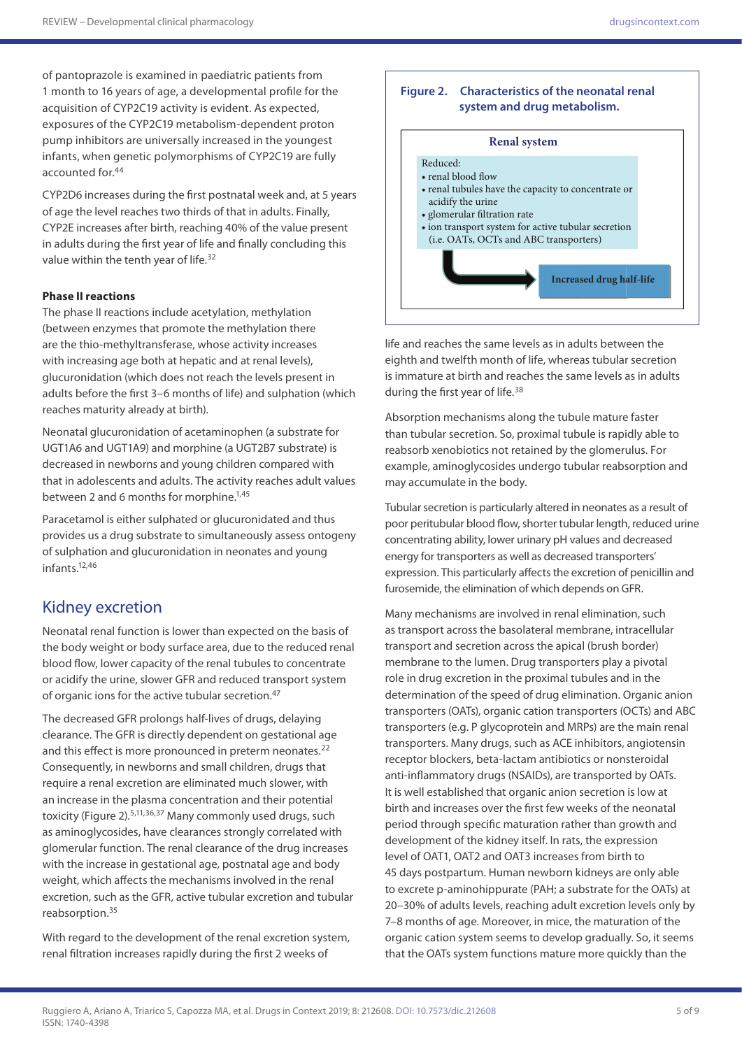of pantoprazole is examined in paediatric patients from 1 month to 16 years of age, a developmental profile for the acquisition of CYP2C19 activity is evident. As expected, exposures of the CYP2C19 metabolism-dependent proton pump inhibitors are universally increased in the youngest infants, when genetic polymorphisms of CYP2C19 are fully accounted for.44

CYP2D6 increases during the first postnatal week and, at 5 years of age the level reaches two thirds of that in adults. Finally, CYP2E increases after birth, reaching 40% of the value present in adults during the first year of life and finally concluding this value within the tenth year of life.<sup>32</sup>

### **Phase II reactions**

The phase II reactions include acetylation, methylation (between enzymes that promote the methylation there are the thio-methyltransferase, whose activity increases with increasing age both at hepatic and at renal levels), glucuronidation (which does not reach the levels present in adults before the first 3–6 months of life) and sulphation (which reaches maturity already at birth).

Neonatal glucuronidation of acetaminophen (a substrate for UGT1A6 and UGT1A9) and morphine (a UGT2B7 substrate) is decreased in newborns and young children compared with that in adolescents and adults. The activity reaches adult values between 2 and 6 months for morphine.<sup>1,45</sup>

Paracetamol is either sulphated or glucuronidated and thus provides us a drug substrate to simultaneously assess ontogeny of sulphation and glucuronidation in neonates and young infants.12,46

## Kidney excretion

Neonatal renal function is lower than expected on the basis of the body weight or body surface area, due to the reduced renal blood flow, lower capacity of the renal tubules to concentrate or acidify the urine, slower GFR and reduced transport system of organic ions for the active tubular secretion.<sup>47</sup>

The decreased GFR prolongs half-lives of drugs, delaying clearance. The GFR is directly dependent on gestational age and this effect is more pronounced in preterm neonates.<sup>22</sup> Consequently, in newborns and small children, drugs that require a renal excretion are eliminated much slower, with an increase in the plasma concentration and their potential toxicity (Figure 2).5,11,36,37 Many commonly used drugs, such as aminoglycosides, have clearances strongly correlated with glomerular function. The renal clearance of the drug increases with the increase in gestational age, postnatal age and body weight, which affects the mechanisms involved in the renal excretion, such as the GFR, active tubular excretion and tubular reabsorption.35

With regard to the development of the renal excretion system, renal filtration increases rapidly during the first 2 weeks of

#### **Figure 2. Characteristics of the neonatal renal system and drug metabolism.**

#### **Renal system**



life and reaches the same levels as in adults between the eighth and twelfth month of life, whereas tubular secretion is immature at birth and reaches the same levels as in adults during the first year of life.<sup>38</sup>

Absorption mechanisms along the tubule mature faster than tubular secretion. So, proximal tubule is rapidly able to reabsorb xenobiotics not retained by the glomerulus. For example, aminoglycosides undergo tubular reabsorption and may accumulate in the body.

Tubular secretion is particularly altered in neonates as a result of poor peritubular blood flow, shorter tubular length, reduced urine concentrating ability, lower urinary pH values and decreased energy for transporters as well as decreased transporters' expression. This particularly affects the excretion of penicillin and furosemide, the elimination of which depends on GFR.

Many mechanisms are involved in renal elimination, such as transport across the basolateral membrane, intracellular transport and secretion across the apical (brush border) membrane to the lumen. Drug transporters play a pivotal role in drug excretion in the proximal tubules and in the determination of the speed of drug elimination. Organic anion transporters (OATs), organic cation transporters (OCTs) and ABC transporters (e.g. P glycoprotein and MRPs) are the main renal transporters. Many drugs, such as ACE inhibitors, angiotensin receptor blockers, beta-lactam antibiotics or nonsteroidal anti-inflammatory drugs (NSAIDs), are transported by OATs. It is well established that organic anion secretion is low at birth and increases over the first few weeks of the neonatal period through specific maturation rather than growth and development of the kidney itself. In rats, the expression level of OAT1, OAT2 and OAT3 increases from birth to 45 days postpartum. Human newborn kidneys are only able to excrete p-aminohippurate (PAH; a substrate for the OATs) at 20–30% of adults levels, reaching adult excretion levels only by 7–8 months of age. Moreover, in mice, the maturation of the organic cation system seems to develop gradually. So, it seems that the OATs system functions mature more quickly than the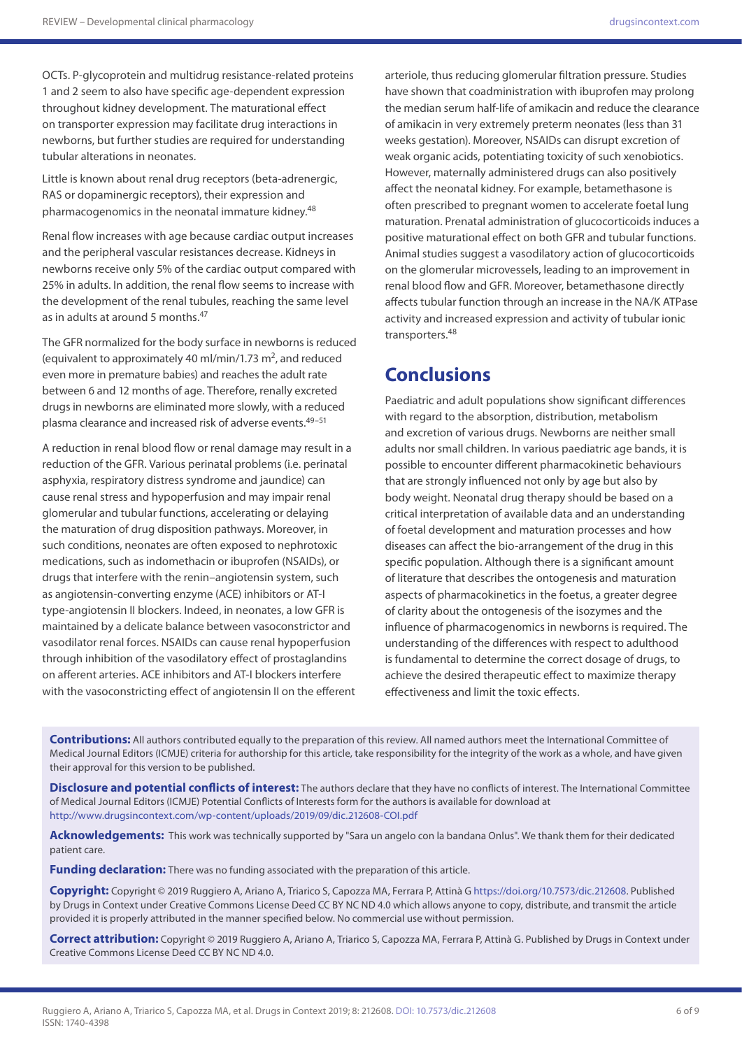OCTs. P-glycoprotein and multidrug resistance-related proteins 1 and 2 seem to also have specific age-dependent expression throughout kidney development. The maturational effect on transporter expression may facilitate drug interactions in newborns, but further studies are required for understanding tubular alterations in neonates.

Little is known about renal drug receptors (beta-adrenergic, RAS or dopaminergic receptors), their expression and pharmacogenomics in the neonatal immature kidney.<sup>48</sup>

Renal flow increases with age because cardiac output increases and the peripheral vascular resistances decrease. Kidneys in newborns receive only 5% of the cardiac output compared with 25% in adults. In addition, the renal flow seems to increase with the development of the renal tubules, reaching the same level as in adults at around 5 months.<sup>47</sup>

The GFR normalized for the body surface in newborns is reduced (equivalent to approximately 40 ml/min/1.73 m<sup>2</sup>, and reduced even more in premature babies) and reaches the adult rate between 6 and 12 months of age. Therefore, renally excreted drugs in newborns are eliminated more slowly, with a reduced plasma clearance and increased risk of adverse events.<sup>49-51</sup>

A reduction in renal blood flow or renal damage may result in a reduction of the GFR. Various perinatal problems (i.e. perinatal asphyxia, respiratory distress syndrome and jaundice) can cause renal stress and hypoperfusion and may impair renal glomerular and tubular functions, accelerating or delaying the maturation of drug disposition pathways. Moreover, in such conditions, neonates are often exposed to nephrotoxic medications, such as indomethacin or ibuprofen (NSAIDs), or drugs that interfere with the renin–angiotensin system, such as angiotensin-converting enzyme (ACE) inhibitors or AT-I type-angiotensin II blockers. Indeed, in neonates, a low GFR is maintained by a delicate balance between vasoconstrictor and vasodilator renal forces. NSAIDs can cause renal hypoperfusion through inhibition of the vasodilatory effect of prostaglandins on afferent arteries. ACE inhibitors and AT-I blockers interfere with the vasoconstricting effect of angiotensin II on the efferent

arteriole, thus reducing glomerular filtration pressure. Studies have shown that coadministration with ibuprofen may prolong the median serum half-life of amikacin and reduce the clearance of amikacin in very extremely preterm neonates (less than 31 weeks gestation). Moreover, NSAIDs can disrupt excretion of weak organic acids, potentiating toxicity of such xenobiotics. However, maternally administered drugs can also positively affect the neonatal kidney. For example, betamethasone is often prescribed to pregnant women to accelerate foetal lung maturation. Prenatal administration of glucocorticoids induces a positive maturational effect on both GFR and tubular functions. Animal studies suggest a vasodilatory action of glucocorticoids on the glomerular microvessels, leading to an improvement in renal blood flow and GFR. Moreover, betamethasone directly affects tubular function through an increase in the NA/K ATPase activity and increased expression and activity of tubular ionic transporters.48

## **Conclusions**

Paediatric and adult populations show significant differences with regard to the absorption, distribution, metabolism and excretion of various drugs. Newborns are neither small adults nor small children. In various paediatric age bands, it is possible to encounter different pharmacokinetic behaviours that are strongly influenced not only by age but also by body weight. Neonatal drug therapy should be based on a critical interpretation of available data and an understanding of foetal development and maturation processes and how diseases can affect the bio-arrangement of the drug in this specific population. Although there is a significant amount of literature that describes the ontogenesis and maturation aspects of pharmacokinetics in the foetus, a greater degree of clarity about the ontogenesis of the isozymes and the influence of pharmacogenomics in newborns is required. The understanding of the differences with respect to adulthood is fundamental to determine the correct dosage of drugs, to achieve the desired therapeutic effect to maximize therapy effectiveness and limit the toxic effects.

**Contributions:** All authors contributed equally to the preparation of this review. All named authors meet the International Committee of Medical Journal Editors (ICMJE) criteria for authorship for this article, take responsibility for the integrity of the work as a whole, and have given their approval for this version to be published.

**Disclosure and potential conflicts of interest:** The authors declare that they have no conflicts of interest. The International Committee of Medical Journal Editors (ICMJE) Potential Conflicts of Interests form for the authors is available for download at <http://www.drugsincontext.com/wp-content/uploads/2019/09/dic.212608-COI.pdf>

**Acknowledgements:** This work was technically supported by "Sara un angelo con la bandana Onlus". We thank them for their dedicated patient care.

**Funding declaration:** There was no funding associated with the preparation of this article.

**Copyright:** Copyright © 2019 Ruggiero A, Ariano A, Triarico S, Capozza MA, Ferrara P, Attinà G [https://doi.org/10.7573/dic.212608.](https://doi.org/10.7573/dic.212608) Published by Drugs in Context under Creative Commons License Deed CC BY NC ND 4.0 which allows anyone to copy, distribute, and transmit the article provided it is properly attributed in the manner specified below. No commercial use without permission.

**Correct attribution:** Copyright © 2019 Ruggiero A, Ariano A, Triarico S, Capozza MA, Ferrara P, Attinà G. Published by Drugs in Context under Creative Commons License Deed CC BY NC ND 4.0.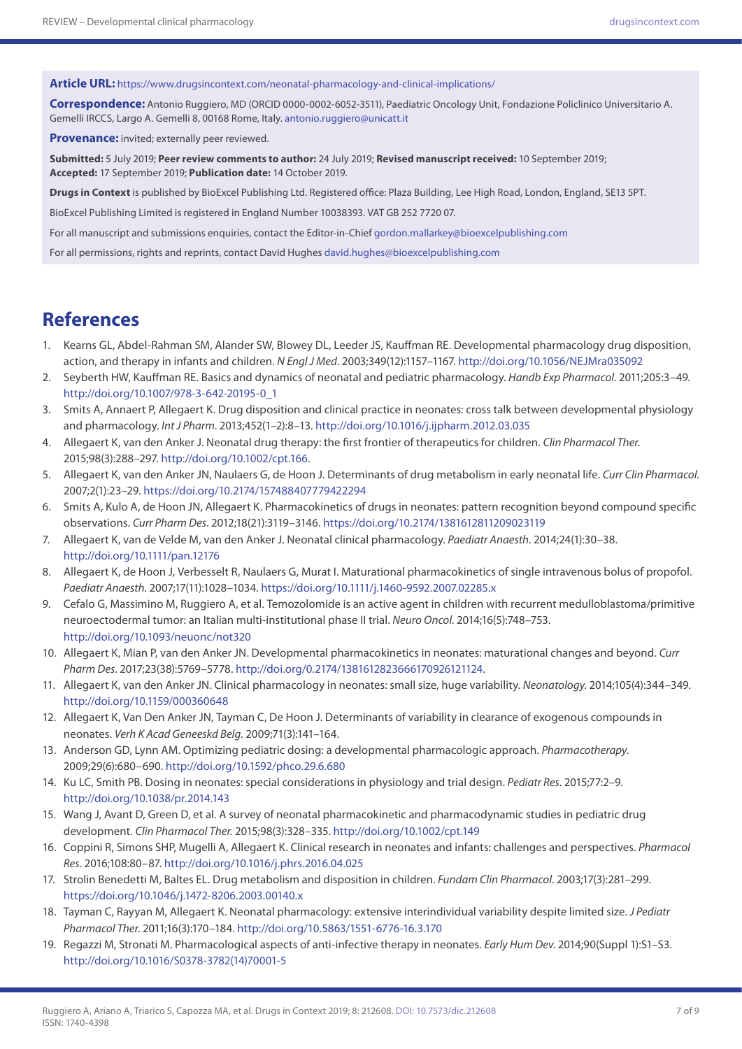**Article URL:** <https://www.drugsincontext.com/neonatal-pharmacology-and-clinical-implications/>

**Correspondence:** Antonio Ruggiero, MD (ORCID 0000-0002-6052-3511), Paediatric Oncology Unit, Fondazione Policlinico Universitario A. Gemelli IRCCS, Largo A. Gemelli 8, 00168 Rome, Italy. [antonio.ruggiero@unicatt.it](mailto:antonio.ruggiero@unicatt.it)

**Provenance:** invited; externally peer reviewed.

**Submitted:** 5 July 2019; **Peer review comments to author:** 24 July 2019; **Revised manuscript received:** 10 September 2019; **Accepted:** 17 September 2019; **Publication date:** 14 October 2019.

**Drugs in Context** is published by BioExcel Publishing Ltd. Registered office: Plaza Building, Lee High Road, London, England, SE13 5PT.

BioExcel Publishing Limited is registered in England Number 10038393. VAT GB 252 7720 07.

For all manuscript and submissions enquiries, contact the Editor-in-Chief [gordon.mallarkey@bioexcelpublishing.com](mailto:gordon.mallarkey@bioexcelpublishing.com)

For all permissions, rights and reprints, contact David Hughes [david.hughes@bioexcelpublishing.com](mailto:david.hughes@bioexcelpublishing.com)

## **References**

- 1. Kearns GL, Abdel-Rahman SM, Alander SW, Blowey DL, Leeder JS, Kauffman RE. Developmental pharmacology drug disposition, action, and therapy in infants and children. *N Engl J Med*. 2003;349(12):1157–1167. <http://doi.org/10.1056/NEJMra035092>
- 2. Seyberth HW, Kauffman RE. Basics and dynamics of neonatal and pediatric pharmacology. *Handb Exp Pharmacol*. 2011;205:3–49. [http://doi.org/10.1007/978-3-642-20195-0\\_1](http://doi.org/10.1007/978-3-642-20195-0_1)
- 3. Smits A, Annaert P, Allegaert K. Drug disposition and clinical practice in neonates: cross talk between developmental physiology and pharmacology. *Int J Pharm*. 2013;452(1–2):8–13.<http://doi.org/10.1016/j.ijpharm.2012.03.035>
- 4. Allegaert K, van den Anker J. Neonatal drug therapy: the first frontier of therapeutics for children. *Clin Pharmacol Ther*. 2015;98(3):288–297.<http://doi.org/10.1002/cpt.166>.
- 5. Allegaert K, van den Anker JN, Naulaers G, de Hoon J. Determinants of drug metabolism in early neonatal life. *Curr Clin Pharmacol*. 2007;2(1):23–29.<https://doi.org/10.2174/157488407779422294>
- 6. Smits A, Kulo A, de Hoon JN, Allegaert K. Pharmacokinetics of drugs in neonates: pattern recognition beyond compound specific observations. *Curr Pharm Des*. 2012;18(21):3119–3146.<https://doi.org/10.2174/1381612811209023119>
- 7. Allegaert K, van de Velde M, van den Anker J. Neonatal clinical pharmacology. *Paediatr Anaesth*. 2014;24(1):30–38. <http://doi.org/10.1111/pan.12176>
- 8. Allegaert K, de Hoon J, Verbesselt R, Naulaers G, Murat I. Maturational pharmacokinetics of single intravenous bolus of propofol. *Paediatr Anaesth*. 2007;17(11):1028–1034. <https://doi.org/10.1111/j.1460-9592.2007.02285.x>
- 9. Cefalo G, Massimino M, Ruggiero A, et al. Temozolomide is an active agent in children with recurrent medulloblastoma/primitive neuroectodermal tumor: an Italian multi-institutional phase II trial. *Neuro Oncol*. 2014;16(5):748–753. <http://doi.org/10.1093/neuonc/not320>
- 10. Allegaert K, Mian P, van den Anker JN. Developmental pharmacokinetics in neonates: maturational changes and beyond. *Curr Pharm Des*. 2017;23(38):5769–5778.<http://doi.org/0.2174/1381612823666170926121124>.
- 11. Allegaert K, van den Anker JN. Clinical pharmacology in neonates: small size, huge variability. *Neonatology*. 2014;105(4):344–349. <http://doi.org/10.1159/000360648>
- 12. Allegaert K, Van Den Anker JN, Tayman C, De Hoon J. Determinants of variability in clearance of exogenous compounds in neonates. *Verh K Acad Geneeskd Belg*. 2009;71(3):141–164.
- 13. Anderson GD, Lynn AM. Optimizing pediatric dosing: a developmental pharmacologic approach. *Pharmacotherapy*. 2009;29(6):680–690. <http://doi.org/10.1592/phco.29.6.680>
- 14. Ku LC, Smith PB. Dosing in neonates: special considerations in physiology and trial design. *Pediatr Res*. 2015;77:2–9. <http://doi.org/10.1038/pr.2014.143>
- 15. Wang J, Avant D, Green D, et al. A survey of neonatal pharmacokinetic and pharmacodynamic studies in pediatric drug development. *Clin Pharmacol Ther*. 2015;98(3):328–335. <http://doi.org/10.1002/cpt.149>
- 16. Coppini R, Simons SHP, Mugelli A, Allegaert K. Clinical research in neonates and infants: challenges and perspectives. *Pharmacol Res*. 2016;108:80–87. <http://doi.org/10.1016/j.phrs.2016.04.025>
- 17. Strolin Benedetti M, Baltes EL. Drug metabolism and disposition in children. *Fundam Clin Pharmacol*. 2003;17(3):281–299. <https://doi.org/10.1046/j.1472-8206.2003.00140.x>
- 18. Tayman C, Rayyan M, Allegaert K. Neonatal pharmacology: extensive interindividual variability despite limited size. *J Pediatr Pharmacol Ther*. 2011;16(3):170–184.<http://doi.org/10.5863/1551-6776-16.3.170>
- 19. Regazzi M, Stronati M. Pharmacological aspects of anti-infective therapy in neonates. *Early Hum Dev*. 2014;90(Suppl 1):S1–S3. [http://doi.org/10.1016/S0378-3782\(14\)70001-5](http://doi.org/10.1016/S0378-3782(14)70001-5)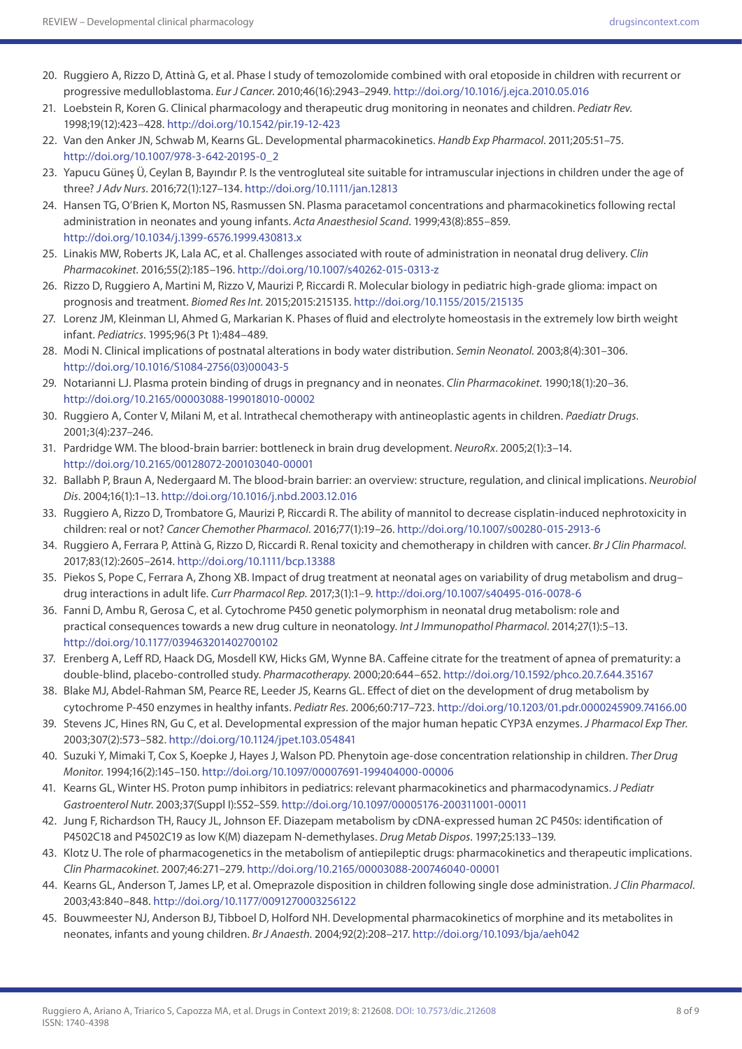- 20. Ruggiero A, Rizzo D, Attinà G, et al. Phase I study of temozolomide combined with oral etoposide in children with recurrent or progressive medulloblastoma. *Eur J Cancer*. 2010;46(16):2943–2949. <http://doi.org/10.1016/j.ejca.2010.05.016>
- 21. Loebstein R, Koren G. Clinical pharmacology and therapeutic drug monitoring in neonates and children. *Pediatr Rev*. 1998;19(12):423–428.<http://doi.org/10.1542/pir.19-12-423>
- 22. Van den Anker JN, Schwab M, Kearns GL. Developmental pharmacokinetics. *Handb Exp Pharmacol*. 2011;205:51–75. [http://doi.org/10.1007/978-3-642-20195-0\\_2](http://doi.org/10.1007/978-3-642-20195-0_2)
- 23. Yapucu Güneş Ü, Ceylan B, Bayındır P. Is the ventrogluteal site suitable for intramuscular injections in children under the age of three? *J Adv Nurs*. 2016;72(1):127–134. <http://doi.org/10.1111/jan.12813>
- 24. Hansen TG, O'Brien K, Morton NS, Rasmussen SN. Plasma paracetamol concentrations and pharmacokinetics following rectal administration in neonates and young infants. *Acta Anaesthesiol Scand*. 1999;43(8):855–859. <http://doi.org/10.1034/j.1399-6576.1999.430813.x>
- 25. Linakis MW, Roberts JK, Lala AC, et al. Challenges associated with route of administration in neonatal drug delivery. *Clin Pharmacokinet*. 2016;55(2):185–196. <http://doi.org/10.1007/s40262-015-0313-z>
- 26. Rizzo D, Ruggiero A, Martini M, Rizzo V, Maurizi P, Riccardi R. Molecular biology in pediatric high-grade glioma: impact on prognosis and treatment. *Biomed Res Int*. 2015;2015:215135.<http://doi.org/10.1155/2015/215135>
- 27. Lorenz JM, Kleinman LI, Ahmed G, Markarian K. Phases of fluid and electrolyte homeostasis in the extremely low birth weight infant. *Pediatrics*. 1995;96(3 Pt 1):484–489.
- 28. Modi N. Clinical implications of postnatal alterations in body water distribution. *Semin Neonatol*. 2003;8(4):301–306. [http://doi.org/10.1016/S1084-2756\(03\)00043-5](http://doi.org/10.1016/S1084-2756(03)00043-5)
- 29. Notarianni LJ. Plasma protein binding of drugs in pregnancy and in neonates. *Clin Pharmacokinet*. 1990;18(1):20–36. <http://doi.org/10.2165/00003088-199018010-00002>
- 30. Ruggiero A, Conter V, Milani M, et al. Intrathecal chemotherapy with antineoplastic agents in children. *Paediatr Drugs*. 2001;3(4):237–246.
- 31. Pardridge WM. The blood-brain barrier: bottleneck in brain drug development. *NeuroRx*. 2005;2(1):3–14. <http://doi.org/10.2165/00128072-200103040-00001>
- 32. Ballabh P, Braun A, Nedergaard M. The blood-brain barrier: an overview: structure, regulation, and clinical implications. *Neurobiol Dis*. 2004;16(1):1–13.<http://doi.org/10.1016/j.nbd.2003.12.016>
- 33. Ruggiero A, Rizzo D, Trombatore G, Maurizi P, Riccardi R. The ability of mannitol to decrease cisplatin-induced nephrotoxicity in children: real or not? *Cancer Chemother Pharmacol*. 2016;77(1):19–26. <http://doi.org/10.1007/s00280-015-2913-6>
- 34. Ruggiero A, Ferrara P, Attinà G, Rizzo D, Riccardi R. Renal toxicity and chemotherapy in children with cancer. *Br J Clin Pharmacol*. 2017;83(12):2605–2614.<http://doi.org/10.1111/bcp.13388>
- 35. Piekos S, Pope C, Ferrara A, Zhong XB. Impact of drug treatment at neonatal ages on variability of drug metabolism and drug– drug interactions in adult life. *Curr Pharmacol Rep*. 2017;3(1):1–9.<http://doi.org/10.1007/s40495-016-0078-6>
- 36. Fanni D, Ambu R, Gerosa C, et al. Cytochrome P450 genetic polymorphism in neonatal drug metabolism: role and practical consequences towards a new drug culture in neonatology. *Int J Immunopathol Pharmacol*. 2014;27(1):5–13. <http://doi.org/10.1177/039463201402700102>
- 37. Erenberg A, Leff RD, Haack DG, Mosdell KW, Hicks GM, Wynne BA. Caffeine citrate for the treatment of apnea of prematurity: a double-blind, placebo-controlled study. *Pharmacotherapy*. 2000;20:644–652. <http://doi.org/10.1592/phco.20.7.644.35167>
- 38. Blake MJ, Abdel-Rahman SM, Pearce RE, Leeder JS, Kearns GL. Effect of diet on the development of drug metabolism by cytochrome P-450 enzymes in healthy infants. *Pediatr Res*. 2006;60:717–723. <http://doi.org/10.1203/01.pdr.0000245909.74166.00>
- 39. Stevens JC, Hines RN, Gu C, et al. Developmental expression of the major human hepatic CYP3A enzymes. *J Pharmacol Exp Ther*. 2003;307(2):573–582. <http://doi.org/10.1124/jpet.103.054841>
- 40. Suzuki Y, Mimaki T, Cox S, Koepke J, Hayes J, Walson PD. Phenytoin age-dose concentration relationship in children. *Ther Drug Monitor*. 1994;16(2):145–150.<http://doi.org/10.1097/00007691-199404000-00006>
- 41. Kearns GL, Winter HS. Proton pump inhibitors in pediatrics: relevant pharmacokinetics and pharmacodynamics. *J Pediatr Gastroenterol Nutr*. 2003;37(Suppl I):S52–S59. <http://doi.org/10.1097/00005176-200311001-00011>
- 42. Jung F, Richardson TH, Raucy JL, Johnson EF. Diazepam metabolism by cDNA-expressed human 2C P450s: identification of P4502C18 and P4502C19 as low K(M) diazepam N-demethylases. *Drug Metab Dispos*. 1997;25:133–139.
- 43. Klotz U. The role of pharmacogenetics in the metabolism of antiepileptic drugs: pharmacokinetics and therapeutic implications. *Clin Pharmacokinet*. 2007;46:271–279.<http://doi.org/10.2165/00003088-200746040-00001>
- 44. Kearns GL, Anderson T, James LP, et al. Omeprazole disposition in children following single dose administration. *J Clin Pharmacol*. 2003;43:840–848.<http://doi.org/10.1177/0091270003256122>
- 45. Bouwmeester NJ, Anderson BJ, Tibboel D, Holford NH. Developmental pharmacokinetics of morphine and its metabolites in neonates, infants and young children. *Br J Anaesth*. 2004;92(2):208–217.<http://doi.org/10.1093/bja/aeh042>